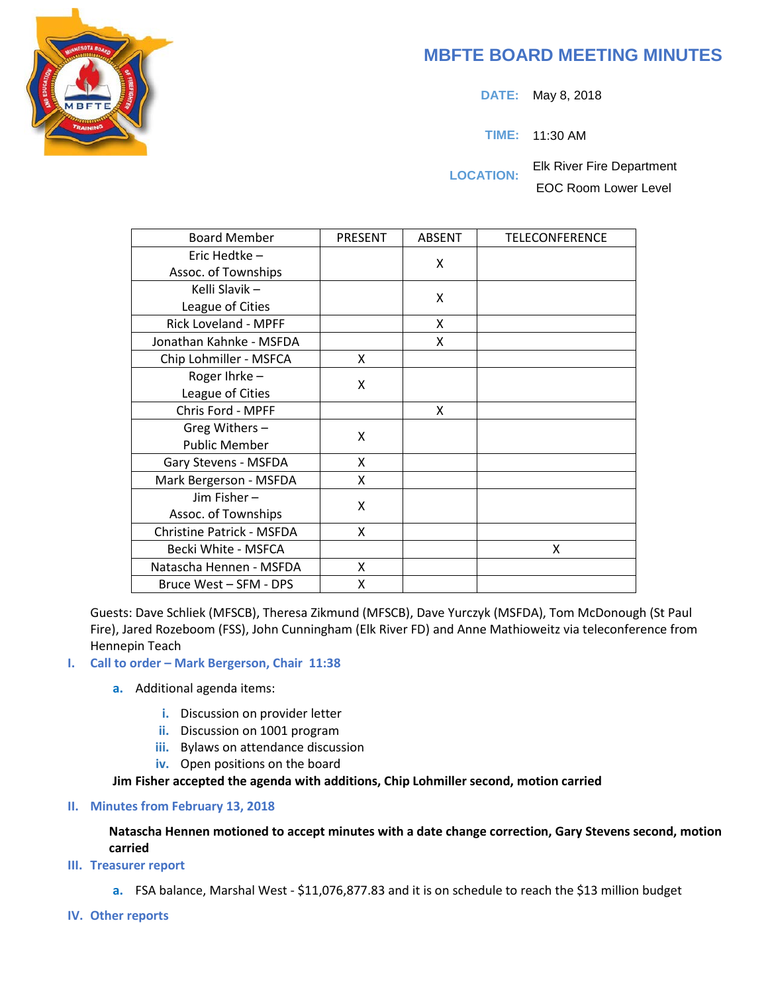# **MBFTE BOARD MEETING MINUTES**

**DATE:** May 8, 2018

**TIME:** 11:30 AM

**LOCATION:** Elk River Fire Department EOC Room Lower Level

| <b>Board Member</b>              | <b>PRESENT</b> | <b>ABSENT</b> | <b>TELECONFERENCE</b> |
|----------------------------------|----------------|---------------|-----------------------|
| Eric Hedtke -                    |                | X             |                       |
| Assoc. of Townships              |                |               |                       |
| Kelli Slavik -                   |                | X             |                       |
| League of Cities                 |                |               |                       |
| Rick Loveland - MPFF             |                | X             |                       |
| Jonathan Kahnke - MSFDA          |                | X             |                       |
| Chip Lohmiller - MSFCA           | X              |               |                       |
| Roger Ihrke-                     | X              |               |                       |
| League of Cities                 |                |               |                       |
| Chris Ford - MPFF                |                | X             |                       |
| Greg Withers -                   | X              |               |                       |
| <b>Public Member</b>             |                |               |                       |
| Gary Stevens - MSFDA             | X              |               |                       |
| Mark Bergerson - MSFDA           | X              |               |                       |
| Jim Fisher-                      | X              |               |                       |
| Assoc. of Townships              |                |               |                       |
| <b>Christine Patrick - MSFDA</b> | X              |               |                       |
| Becki White - MSFCA              |                |               | x                     |
| Natascha Hennen - MSFDA          | X              |               |                       |
| Bruce West - SFM - DPS           | X              |               |                       |

Guests: Dave Schliek (MFSCB), Theresa Zikmund (MFSCB), Dave Yurczyk (MSFDA), Tom McDonough (St Paul Fire), Jared Rozeboom (FSS), John Cunningham (Elk River FD) and Anne Mathioweitz via teleconference from Hennepin Teach

## **I. Call to order – Mark Bergerson, Chair 11:38**

- **a.** Additional agenda items:
	- **i.** Discussion on provider letter
	- **ii.** Discussion on 1001 program
	- **iii.** Bylaws on attendance discussion
	- **iv.** Open positions on the board

## **Jim Fisher accepted the agenda with additions, Chip Lohmiller second, motion carried**

## **II. Minutes from February 13, 2018**

## **Natascha Hennen motioned to accept minutes with a date change correction, Gary Stevens second, motion carried**

- **III. Treasurer report**
	- **a.** FSA balance, Marshal West \$11,076,877.83 and it is on schedule to reach the \$13 million budget
- **IV. Other reports**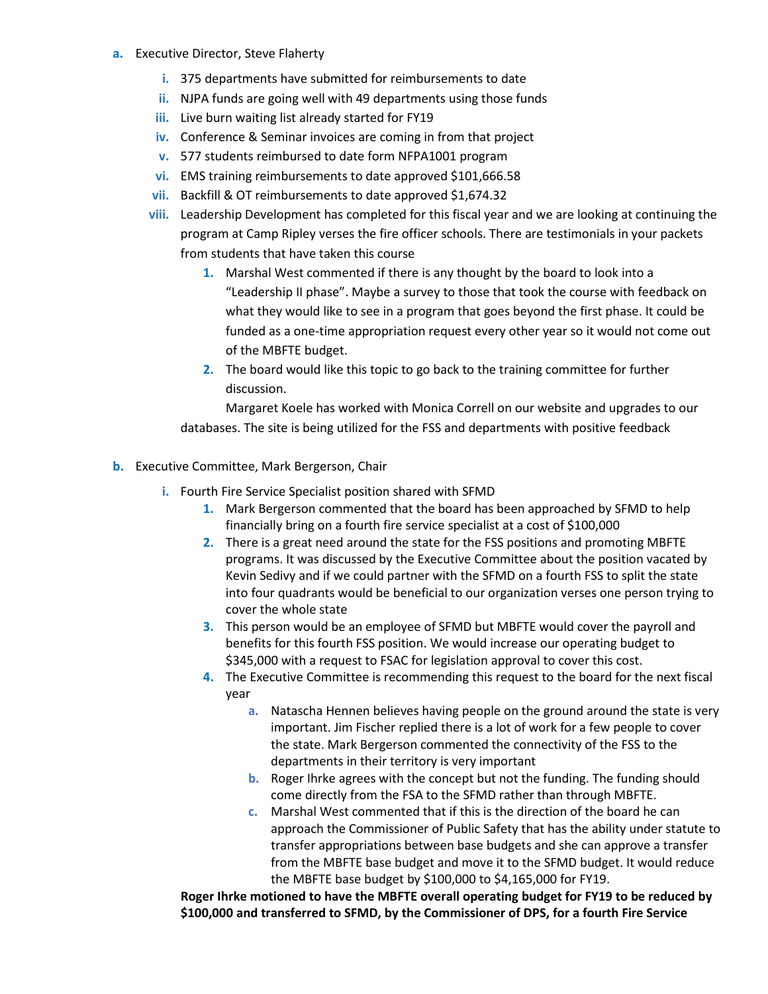- **a.** Executive Director, Steve Flaherty
	- **i.** 375 departments have submitted for reimbursements to date
	- **ii.** NJPA funds are going well with 49 departments using those funds
	- **iii.** Live burn waiting list already started for FY19
	- **iv.** Conference & Seminar invoices are coming in from that project
	- **v.** 577 students reimbursed to date form NFPA1001 program
	- **vi.** EMS training reimbursements to date approved \$101,666.58
	- **vii.** Backfill & OT reimbursements to date approved \$1,674.32
	- **viii.** Leadership Development has completed for this fiscal year and we are looking at continuing the program at Camp Ripley verses the fire officer schools. There are testimonials in your packets from students that have taken this course
		- **1.** Marshal West commented if there is any thought by the board to look into a "Leadership II phase". Maybe a survey to those that took the course with feedback on what they would like to see in a program that goes beyond the first phase. It could be funded as a one-time appropriation request every other year so it would not come out of the MBFTE budget.
		- **2.** The board would like this topic to go back to the training committee for further discussion.

Margaret Koele has worked with Monica Correll on our website and upgrades to our databases. The site is being utilized for the FSS and departments with positive feedback

- **b.** Executive Committee, Mark Bergerson, Chair
	- **i.** Fourth Fire Service Specialist position shared with SFMD
		- **1.** Mark Bergerson commented that the board has been approached by SFMD to help financially bring on a fourth fire service specialist at a cost of \$100,000
		- **2.** There is a great need around the state for the FSS positions and promoting MBFTE programs. It was discussed by the Executive Committee about the position vacated by Kevin Sedivy and if we could partner with the SFMD on a fourth FSS to split the state into four quadrants would be beneficial to our organization verses one person trying to cover the whole state
		- **3.** This person would be an employee of SFMD but MBFTE would cover the payroll and benefits for this fourth FSS position. We would increase our operating budget to \$345,000 with a request to FSAC for legislation approval to cover this cost.
		- **4.** The Executive Committee is recommending this request to the board for the next fiscal year
			- **a.** Natascha Hennen believes having people on the ground around the state is very important. Jim Fischer replied there is a lot of work for a few people to cover the state. Mark Bergerson commented the connectivity of the FSS to the departments in their territory is very important
			- **b.** Roger Ihrke agrees with the concept but not the funding. The funding should come directly from the FSA to the SFMD rather than through MBFTE.
			- **c.** Marshal West commented that if this is the direction of the board he can approach the Commissioner of Public Safety that has the ability under statute to transfer appropriations between base budgets and she can approve a transfer from the MBFTE base budget and move it to the SFMD budget. It would reduce the MBFTE base budget by \$100,000 to \$4,165,000 for FY19.

**Roger Ihrke motioned to have the MBFTE overall operating budget for FY19 to be reduced by \$100,000 and transferred to SFMD, by the Commissioner of DPS, for a fourth Fire Service**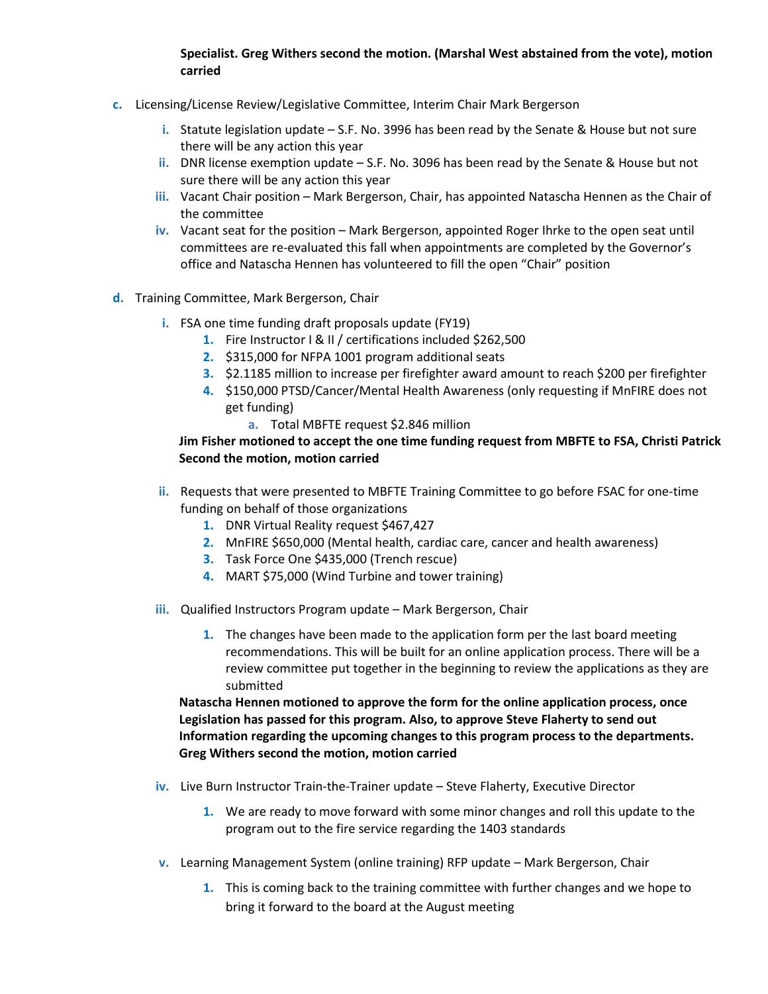## **Specialist. Greg Withers second the motion. (Marshal West abstained from the vote), motion carried**

- **c.** Licensing/License Review/Legislative Committee, Interim Chair Mark Bergerson
	- **i.** Statute legislation update S.F. No. 3996 has been read by the Senate & House but not sure there will be any action this year
	- **ii.** DNR license exemption update S.F. No. 3096 has been read by the Senate & House but not sure there will be any action this year
	- **iii.** Vacant Chair position Mark Bergerson, Chair, has appointed Natascha Hennen as the Chair of the committee
	- **iv.** Vacant seat for the position Mark Bergerson, appointed Roger Ihrke to the open seat until committees are re-evaluated this fall when appointments are completed by the Governor's office and Natascha Hennen has volunteered to fill the open "Chair" position
- **d.** Training Committee, Mark Bergerson, Chair
	- **i.** FSA one time funding draft proposals update (FY19)
		- **1.** Fire Instructor I & II / certifications included \$262,500
		- **2.** \$315,000 for NFPA 1001 program additional seats
		- **3.** \$2.1185 million to increase per firefighter award amount to reach \$200 per firefighter
		- **4.** \$150,000 PTSD/Cancer/Mental Health Awareness (only requesting if MnFIRE does not get funding)
			- **a.** Total MBFTE request \$2.846 million

## **Jim Fisher motioned to accept the one time funding request from MBFTE to FSA, Christi Patrick Second the motion, motion carried**

- **ii.** Requests that were presented to MBFTE Training Committee to go before FSAC for one-time funding on behalf of those organizations
	- **1.** DNR Virtual Reality request \$467,427
	- **2.** MnFIRE \$650,000 (Mental health, cardiac care, cancer and health awareness)
	- **3.** Task Force One \$435,000 (Trench rescue)
	- **4.** MART \$75,000 (Wind Turbine and tower training)
- **iii.** Qualified Instructors Program update Mark Bergerson, Chair
	- **1.** The changes have been made to the application form per the last board meeting recommendations. This will be built for an online application process. There will be a review committee put together in the beginning to review the applications as they are submitted

 **Natascha Hennen motioned to approve the form for the online application process, once Legislation has passed for this program. Also, to approve Steve Flaherty to send out Information regarding the upcoming changes to this program process to the departments. Greg Withers second the motion, motion carried**

- **iv.** Live Burn Instructor Train-the-Trainer update Steve Flaherty, Executive Director
	- **1.** We are ready to move forward with some minor changes and roll this update to the program out to the fire service regarding the 1403 standards
- **v.** Learning Management System (online training) RFP update Mark Bergerson, Chair
	- **1.** This is coming back to the training committee with further changes and we hope to bring it forward to the board at the August meeting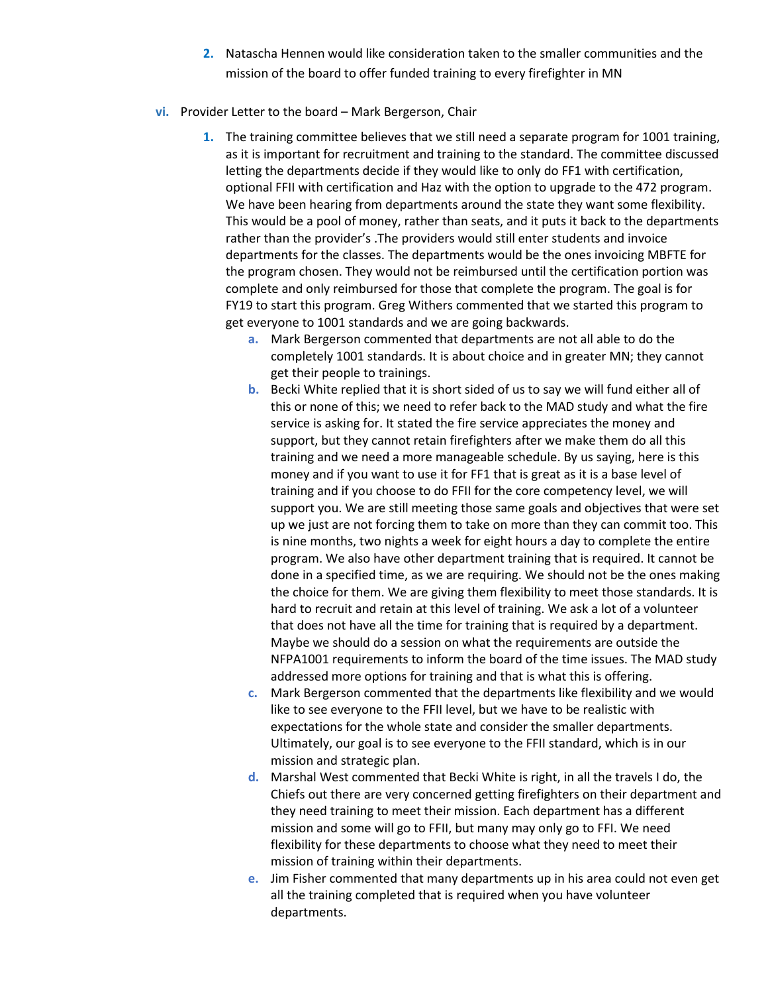**2.** Natascha Hennen would like consideration taken to the smaller communities and the mission of the board to offer funded training to every firefighter in MN

#### **vi.** Provider Letter to the board – Mark Bergerson, Chair

- **1.** The training committee believes that we still need a separate program for 1001 training, as it is important for recruitment and training to the standard. The committee discussed letting the departments decide if they would like to only do FF1 with certification, optional FFII with certification and Haz with the option to upgrade to the 472 program. We have been hearing from departments around the state they want some flexibility. This would be a pool of money, rather than seats, and it puts it back to the departments rather than the provider's .The providers would still enter students and invoice departments for the classes. The departments would be the ones invoicing MBFTE for the program chosen. They would not be reimbursed until the certification portion was complete and only reimbursed for those that complete the program. The goal is for FY19 to start this program. Greg Withers commented that we started this program to get everyone to 1001 standards and we are going backwards.
	- **a.** Mark Bergerson commented that departments are not all able to do the completely 1001 standards. It is about choice and in greater MN; they cannot get their people to trainings.
	- **b.** Becki White replied that it is short sided of us to say we will fund either all of this or none of this; we need to refer back to the MAD study and what the fire service is asking for. It stated the fire service appreciates the money and support, but they cannot retain firefighters after we make them do all this training and we need a more manageable schedule. By us saying, here is this money and if you want to use it for FF1 that is great as it is a base level of training and if you choose to do FFII for the core competency level, we will support you. We are still meeting those same goals and objectives that were set up we just are not forcing them to take on more than they can commit too. This is nine months, two nights a week for eight hours a day to complete the entire program. We also have other department training that is required. It cannot be done in a specified time, as we are requiring. We should not be the ones making the choice for them. We are giving them flexibility to meet those standards. It is hard to recruit and retain at this level of training. We ask a lot of a volunteer that does not have all the time for training that is required by a department. Maybe we should do a session on what the requirements are outside the NFPA1001 requirements to inform the board of the time issues. The MAD study addressed more options for training and that is what this is offering.
	- **c.** Mark Bergerson commented that the departments like flexibility and we would like to see everyone to the FFII level, but we have to be realistic with expectations for the whole state and consider the smaller departments. Ultimately, our goal is to see everyone to the FFII standard, which is in our mission and strategic plan.
	- **d.** Marshal West commented that Becki White is right, in all the travels I do, the Chiefs out there are very concerned getting firefighters on their department and they need training to meet their mission. Each department has a different mission and some will go to FFII, but many may only go to FFI. We need flexibility for these departments to choose what they need to meet their mission of training within their departments.
	- **e.** Jim Fisher commented that many departments up in his area could not even get all the training completed that is required when you have volunteer departments.